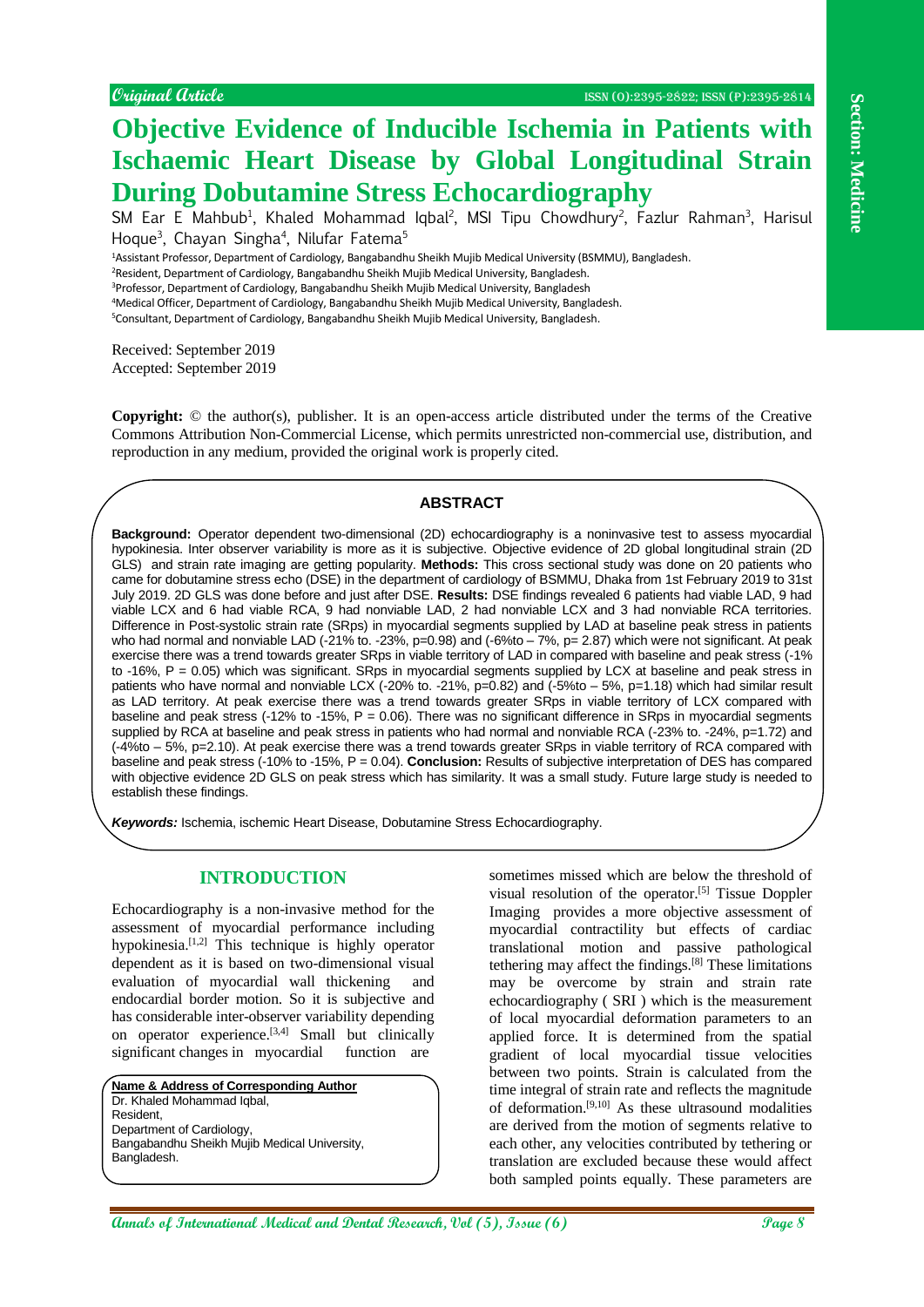# **Objective Evidence of Inducible Ischemia in Patients with Ischaemic Heart Disease by Global Longitudinal Strain During Dobutamine Stress Echocardiography**

SM Ear E Mahbub<sup>1</sup>, Khaled Mohammad Iqbal<sup>2</sup>, MSI Tipu Chowdhury<sup>2</sup>, Fazlur Rahman<sup>3</sup>, Harisul Hoque<sup>3</sup>, Chayan Singha<sup>4</sup>, Nilufar Fatema<sup>5</sup>

<sup>1</sup>Assistant Professor, Department of Cardiology, Bangabandhu Sheikh Mujib Medical University (BSMMU), Bangladesh.

<sup>2</sup>Resident, Department of Cardiology, Bangabandhu Sheikh Mujib Medical University, Bangladesh.

<sup>3</sup>Professor, Department of Cardiology, Bangabandhu Sheikh Mujib Medical University, Bangladesh

<sup>4</sup>Medical Officer, Department of Cardiology, Bangabandhu Sheikh Mujib Medical University, Bangladesh.

<sup>5</sup>Consultant, Department of Cardiology, Bangabandhu Sheikh Mujib Medical University, Bangladesh.

Received: September 2019 Accepted: September 2019

**Copyright:** © the author(s), publisher. It is an open-access article distributed under the terms of the Creative Commons Attribution Non-Commercial License, which permits unrestricted non-commercial use, distribution, and reproduction in any medium, provided the original work is properly cited.

## **ABSTRACT**

**Annals of International Medical and The Control Control Control Control Control Control Control Control Control Control Control Control Control Control Control Control Control Control Control Control Control Control Contr Background:** Operator dependent two-dimensional (2D) echocardiography is a noninvasive test to assess myocardial hypokinesia. Inter observer variability is more as it is subjective. Objective evidence of 2D global longitudinal strain (2D GLS) and strain rate imaging are getting popularity. **Methods:** This cross sectional study was done on 20 patients who came for dobutamine stress echo (DSE) in the department of cardiology of BSMMU, Dhaka from 1st February 2019 to 31st July 2019. 2D GLS was done before and just after DSE. **Results:** DSE findings revealed 6 patients had viable LAD, 9 had viable LCX and 6 had viable RCA, 9 had nonviable LAD, 2 had nonviable LCX and 3 had nonviable RCA territories. Difference in Post-systolic strain rate (SRps) in myocardial segments supplied by LAD at baseline peak stress in patients who had normal and nonviable LAD (-21% to. -23%, p=0.98) and (-6%to – 7%, p= 2.87) which were not significant. At peak exercise there was a trend towards greater SRps in viable territory of LAD in compared with baseline and peak stress (-1% to -16%, P = 0.05) which was significant. SRps in myocardial segments supplied by LCX at baseline and peak stress in patients who have normal and nonviable LCX (-20% to. -21%, p=0.82) and (-5%to – 5%, p=1.18) which had similar result as LAD territory. At peak exercise there was a trend towards greater SRps in viable territory of LCX compared with baseline and peak stress (-12% to -15%, P = 0.06). There was no significant difference in SRps in myocardial segments supplied by RCA at baseline and peak stress in patients who had normal and nonviable RCA (-23% to. -24%, p=1.72) and (-4%to – 5%, p=2.10). At peak exercise there was a trend towards greater SRps in viable territory of RCA compared with baseline and peak stress (-10% to -15%, P = 0.04). **Conclusion:** Results of subjective interpretation of DES has compared with objective evidence 2D GLS on peak stress which has similarity. It was a small study. Future large study is needed to establish these findings.

*Keywords:* Ischemia, ischemic Heart Disease, Dobutamine Stress Echocardiography.

## **INTRODUCTION**

Echocardiography is a non-invasive method for the assessment of myocardial performance including hypokinesia.<sup>[1,2]</sup> This technique is highly operator dependent as it is based on two-dimensional visual evaluation of myocardial wall thickening and endocardial border motion. So it is subjective and has considerable inter-observer variability depending on operator experience.<sup>[3,4]</sup> Small but clinically significant changes in myocardial function are

**Name & Address of Corresponding Author** Dr. Khaled Mohammad Iqbal, Resident, Department of Cardiology, Bangabandhu Sheikh Mujib Medical University, Bangladesh.

sometimes missed which are below the threshold of visual resolution of the operator.[5] Tissue Doppler Imaging provides a more objective assessment of myocardial contractility but effects of cardiac translational motion and passive pathological tethering may affect the findings.[8] These limitations may be overcome by strain and strain rate echocardiography ( SRI ) which is the measurement of local myocardial deformation parameters to an applied force. It is determined from the spatial gradient of local myocardial tissue velocities between two points. Strain is calculated from the time integral of strain rate and reflects the magnitude of deformation.[9,10] As these ultrasound modalities are derived from the motion of segments relative to each other, any velocities contributed by tethering or translation are excluded because these would affect both sampled points equally. These parameters are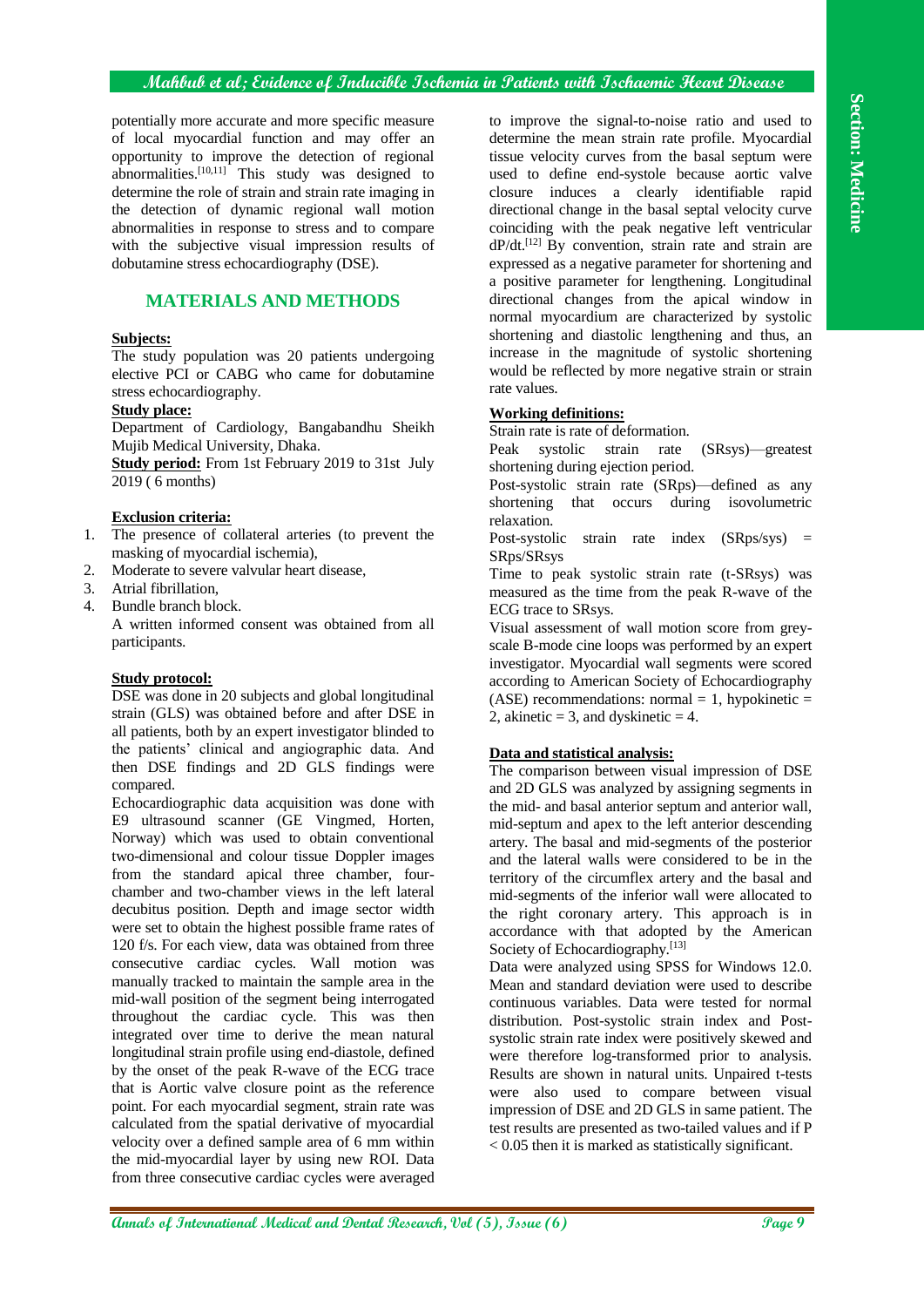## **Mahbub et al; Evidence of Inducible Ischemia in Patients with Ischaemic Heart Disease**

potentially more accurate and more specific measure of local myocardial function and may offer an opportunity to improve the detection of regional abnormalities. $[10,11]$ <sup> $\cdot$ </sup> This study was designed to determine the role of strain and strain rate imaging in the detection of dynamic regional wall motion abnormalities in response to stress and to compare with the subjective visual impression results of dobutamine stress echocardiography (DSE).

## **MATERIALS AND METHODS**

## **Subjects:**

The study population was 20 patients undergoing elective PCI or CABG who came for dobutamine stress echocardiography.

## **Study place:**

Department of Cardiology, Bangabandhu Sheikh Mujib Medical University, Dhaka.

**Study period:** From 1st February 2019 to 31st July 2019 ( 6 months)

## **Exclusion criteria:**

- 1. The presence of collateral arteries (to prevent the masking of myocardial ischemia),
- 2. Moderate to severe valvular heart disease,
- 3. Atrial fibrillation,
- 4. Bundle branch block.

A written informed consent was obtained from all participants.

#### **Study protocol:**

DSE was done in 20 subjects and global longitudinal strain (GLS) was obtained before and after DSE in all patients, both by an expert investigator blinded to the patients' clinical and angiographic data. And then DSE findings and 2D GLS findings were compared.

Echocardiographic data acquisition was done with E9 ultrasound scanner (GE Vingmed, Horten, Norway) which was used to obtain conventional two-dimensional and colour tissue Doppler images from the standard apical three chamber, fourchamber and two-chamber views in the left lateral decubitus position. Depth and image sector width were set to obtain the highest possible frame rates of 120 f/s. For each view, data was obtained from three consecutive cardiac cycles. Wall motion was manually tracked to maintain the sample area in the mid-wall position of the segment being interrogated throughout the cardiac cycle. This was then integrated over time to derive the mean natural longitudinal strain profile using end-diastole, defined by the onset of the peak R-wave of the ECG trace that is Aortic valve closure point as the reference point. For each myocardial segment, strain rate was calculated from the spatial derivative of myocardial velocity over a defined sample area of 6 mm within the mid-myocardial layer by using new ROI. Data from three consecutive cardiac cycles were averaged

to improve the signal-to-noise ratio and used to determine the mean strain rate profile. Myocardial tissue velocity curves from the basal septum were used to define end-systole because aortic valve closure induces a clearly identifiable rapid directional change in the basal septal velocity curve coinciding with the peak negative left ventricular  $dP/dt$ .<sup>[12]</sup> By convention, strain rate and strain are expressed as a negative parameter for shortening and a positive parameter for lengthening. Longitudinal directional changes from the apical window in normal myocardium are characterized by systolic shortening and diastolic lengthening and thus, an increase in the magnitude of systolic shortening would be reflected by more negative strain or strain rate values.

#### **Working definitions:**

Strain rate is rate of deformation.

Peak systolic strain rate (SRsys)—greatest shortening during ejection period.

Post-systolic strain rate (SRps)—defined as any shortening that occurs during isovolumetric relaxation.

Post-systolic strain rate index  $(SRps/sys)$  = SRps/SRsys

Time to peak systolic strain rate (t-SRsys) was measured as the time from the peak R-wave of the ECG trace to SRsys.

Visual assessment of wall motion score from greyscale B-mode cine loops was performed by an expert investigator. Myocardial wall segments were scored according to American Society of Echocardiography  $(ASE)$  recommendations: normal = 1, hypokinetic = 2, akinetic = 3, and dyskinetic = 4.

#### **Data and statistical analysis:**

The comparison between visual impression of DSE and 2D GLS was analyzed by assigning segments in the mid- and basal anterior septum and anterior wall, mid-septum and apex to the left anterior descending artery. The basal and mid-segments of the posterior and the lateral walls were considered to be in the territory of the circumflex artery and the basal and mid-segments of the inferior wall were allocated to the right coronary artery. This approach is in accordance with that adopted by the American Society of Echocardiography.<sup>[13]</sup>

Data were analyzed using SPSS for Windows 12.0. Mean and standard deviation were used to describe continuous variables. Data were tested for normal distribution. Post-systolic strain index and Postsystolic strain rate index were positively skewed and were therefore log-transformed prior to analysis. Results are shown in natural units. Unpaired t-tests were also used to compare between visual impression of DSE and 2D GLS in same patient. The test results are presented as two-tailed values and if P < 0.05 then it is marked as statistically significant.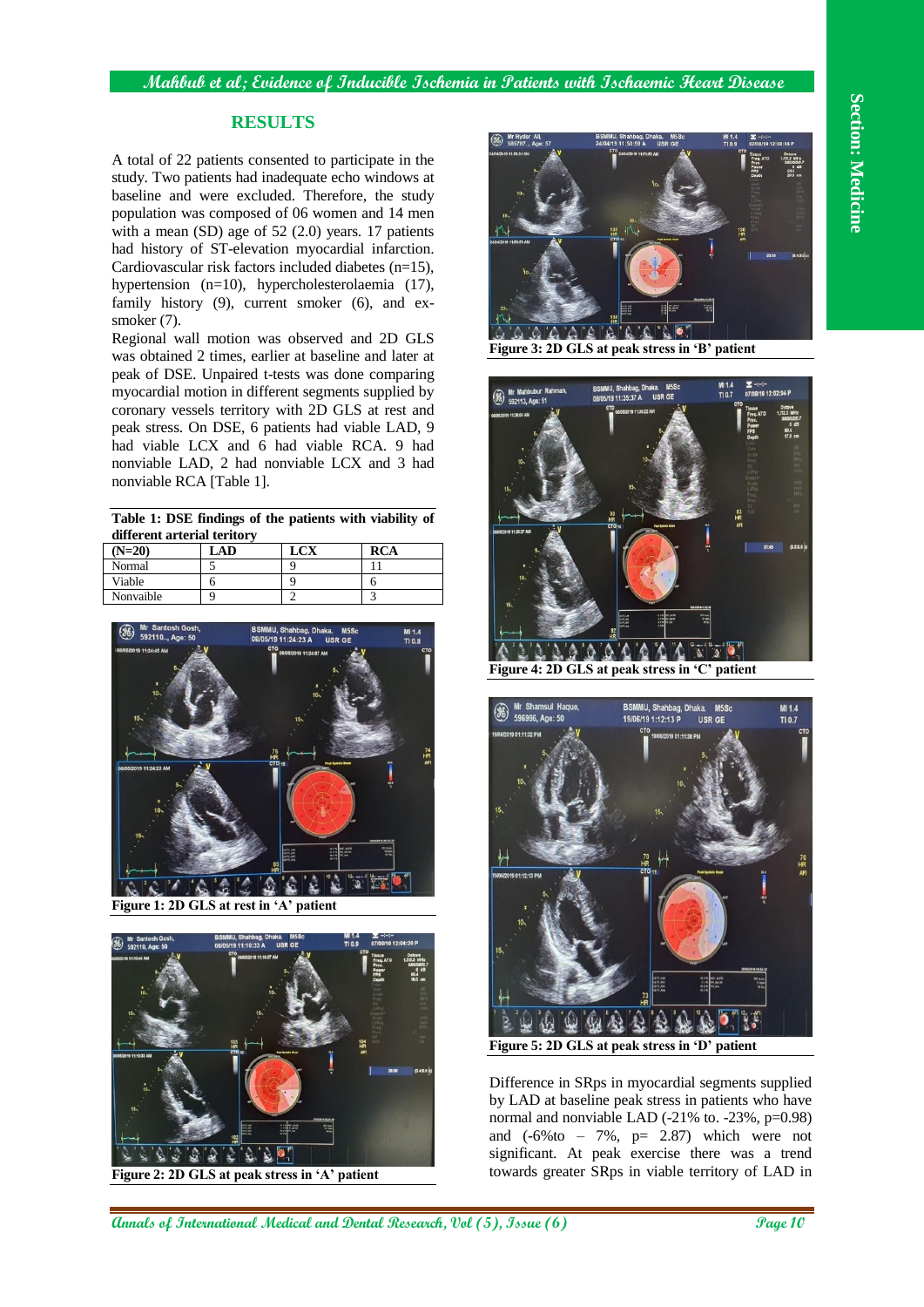#### **Mahbub et al; Evidence of Inducible Ischemia in Patients with Ischaemic Heart Disease**

## **RESULTS**

A total of 22 patients consented to participate in the study. Two patients had inadequate echo windows at baseline and were excluded. Therefore, the study population was composed of 06 women and 14 men with a mean (SD) age of 52 (2.0) years. 17 patients had history of ST-elevation myocardial infarction. Cardiovascular risk factors included diabetes (n=15), hypertension (n=10), hypercholesterolaemia (17), family history (9), current smoker (6), and exsmoker (7).

Regional wall motion was observed and 2D GLS was obtained 2 times, earlier at baseline and later at peak of DSE. Unpaired t-tests was done comparing myocardial motion in different segments supplied by coronary vessels territory with 2D GLS at rest and peak stress. On DSE, 6 patients had viable LAD, 9 had viable LCX and 6 had viable RCA. 9 had nonviable LAD, 2 had nonviable LCX and 3 had nonviable RCA [Table 1].

**Table 1: DSE findings of the patients with viability of different arterial teritory**

| $(N=20)$  | LAD | <b>LCX</b> | <b>RCA</b> |  |
|-----------|-----|------------|------------|--|
| Normal    |     |            |            |  |
| Viable    |     |            |            |  |
| Nonvaible |     |            |            |  |



**Figure 1: 2D GLS at rest in 'A' patient**



**Figure 2: 2D GLS at peak stress in 'A' patient**



**Figure 3: 2D GLS at peak stress in 'B' patient**



**Figure 4: 2D GLS at peak stress in 'C' patient**



Difference in SRps in myocardial segments supplied by LAD at baseline peak stress in patients who have normal and nonviable LAD  $(-21\% \text{ to. } -23\%, \text{ p=0.98})$ and  $(-6\%$  to  $-7\%$ ,  $p= 2.87$ ) which were not significant. At peak exercise there was a trend towards greater SRps in viable territory of LAD in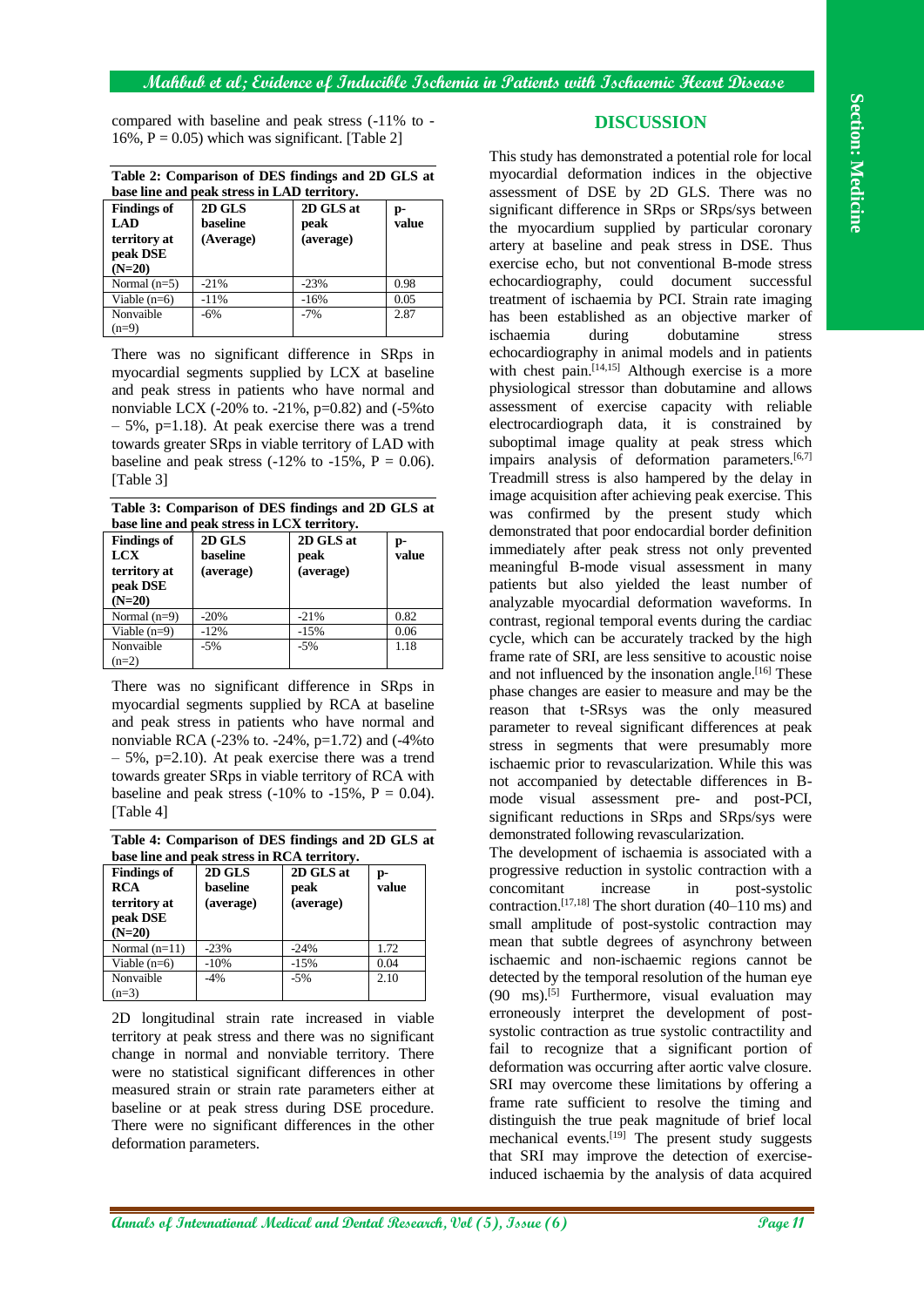compared with baseline and peak stress (-11% to - 16%,  $P = 0.05$ ) which was significant. [Table 2]

**Table 2: Comparison of DES findings and 2D GLS at base line and peak stress in LAD territory.**

| <b>Findings of</b><br>LAD<br>territory at<br>peak DSE<br>$(N=20)$ | 2D GLS<br>baseline<br>(Average) | 2D GLS at<br>peak<br>(average) | p-<br>value |
|-------------------------------------------------------------------|---------------------------------|--------------------------------|-------------|
| Normal $(n=5)$                                                    | $-21%$                          | $-23%$                         | 0.98        |
| Viable $(n=6)$                                                    | $-11%$                          | $-16%$                         | 0.05        |
| Nonvaible                                                         | $-6%$                           | $-7%$                          | 2.87        |
| $(n=9)$                                                           |                                 |                                |             |

There was no significant difference in SRps in myocardial segments supplied by LCX at baseline and peak stress in patients who have normal and nonviable LCX (-20% to. -21%,  $p=0.82$ ) and (-5%to  $-5\%$ , p=1.18). At peak exercise there was a trend towards greater SRps in viable territory of LAD with baseline and peak stress  $(-12\% \text{ to } -15\%, P = 0.06)$ . [Table 3]

**Table 3: Comparison of DES findings and 2D GLS at base line and peak stress in LCX territory.**

| <b>Findings of</b><br>LCX<br>territory at<br>peak DSE<br>$(N=20)$ | 2D GLS<br>baseline<br>(average) | 2D GLS at<br>peak<br>(average) | p-<br>value |
|-------------------------------------------------------------------|---------------------------------|--------------------------------|-------------|
| Normal $(n=9)$                                                    | $-20%$                          | $-21%$                         | 0.82        |
| Viable $(n=9)$                                                    | $-12%$                          | $-15%$                         | 0.06        |
| Nonvaible                                                         | $-5%$                           | $-5%$                          | 1.18        |
| $(n=2)$                                                           |                                 |                                |             |

There was no significant difference in SRps in myocardial segments supplied by RCA at baseline and peak stress in patients who have normal and nonviable RCA  $(-23\% \text{ to } -24\% \text{ to } -1.72)$  and  $(-4\% \text{ to } -1.72)$  $-5\%$ , p=2.10). At peak exercise there was a trend towards greater SRps in viable territory of RCA with baseline and peak stress  $(-10\% \text{ to } -15\%$ ,  $P = 0.04$ ). [Table 4]

**Table 4: Comparison of DES findings and 2D GLS at base line and peak stress in RCA territory.**

| oase mie ama peak su ess m kerk territor v. |           |           |       |  |
|---------------------------------------------|-----------|-----------|-------|--|
| <b>Findings of</b>                          | 2D GLS    | 2D GLS at | p-    |  |
| <b>RCA</b>                                  | baseline  | peak      | value |  |
| territory at                                | (average) | (average) |       |  |
| peak DSE                                    |           |           |       |  |
| $(N=20)$                                    |           |           |       |  |
| Normal $(n=11)$                             | $-23%$    | $-24%$    | 1.72  |  |
| Viable $(n=6)$                              | $-10%$    | $-15%$    | 0.04  |  |
| Nonvaible                                   | $-4%$     | $-5%$     | 2.10  |  |
| $(n=3)$                                     |           |           |       |  |
|                                             |           |           |       |  |

2D longitudinal strain rate increased in viable territory at peak stress and there was no significant change in normal and nonviable territory. There were no statistical significant differences in other measured strain or strain rate parameters either at baseline or at peak stress during DSE procedure. There were no significant differences in the other deformation parameters.

#### **DISCUSSION**

This study has demonstrated a potential role for local myocardial deformation indices in the objective assessment of DSE by 2D GLS. There was no significant difference in SRps or SRps/sys between the myocardium supplied by particular coronary artery at baseline and peak stress in DSE. Thus exercise echo, but not conventional B-mode stress echocardiography, could document successful treatment of ischaemia by PCI. Strain rate imaging has been established as an objective marker of ischaemia during dobutamine stress echocardiography in animal models and in patients with chest pain.<sup>[14,15]</sup> Although exercise is a more physiological stressor than dobutamine and allows assessment of exercise capacity with reliable electrocardiograph data, it is constrained by suboptimal image quality at peak stress which impairs analysis of deformation parameters.<sup>[6,7]</sup> Treadmill stress is also hampered by the delay in image acquisition after achieving peak exercise. This was confirmed by the present study which demonstrated that poor endocardial border definition immediately after peak stress not only prevented meaningful B-mode visual assessment in many patients but also yielded the least number of analyzable myocardial deformation waveforms. In contrast, regional temporal events during the cardiac cycle, which can be accurately tracked by the high frame rate of SRI, are less sensitive to acoustic noise and not influenced by the insonation angle.<sup>[16]</sup> These phase changes are easier to measure and may be the reason that t-SRsys was the only measured parameter to reveal significant differences at peak stress in segments that were presumably more ischaemic prior to revascularization. While this was not accompanied by detectable differences in Bmode visual assessment pre- and post-PCI, significant reductions in SRps and SRps/sys were demonstrated following revascularization.

The development of ischaemia is associated with a progressive reduction in systolic contraction with a concomitant increase in post-systolic contraction.<sup>[17,18]</sup> The short duration  $(40-110 \text{ ms})$  and small amplitude of post-systolic contraction may mean that subtle degrees of asynchrony between ischaemic and non-ischaemic regions cannot be detected by the temporal resolution of the human eye  $(90 \text{ ms}).^{[5]}$  Furthermore, visual evaluation may erroneously interpret the development of postsystolic contraction as true systolic contractility and fail to recognize that a significant portion of deformation was occurring after aortic valve closure. SRI may overcome these limitations by offering a frame rate sufficient to resolve the timing and distinguish the true peak magnitude of brief local mechanical events.<sup>[19]</sup> The present study suggests that SRI may improve the detection of exerciseinduced ischaemia by the analysis of data acquired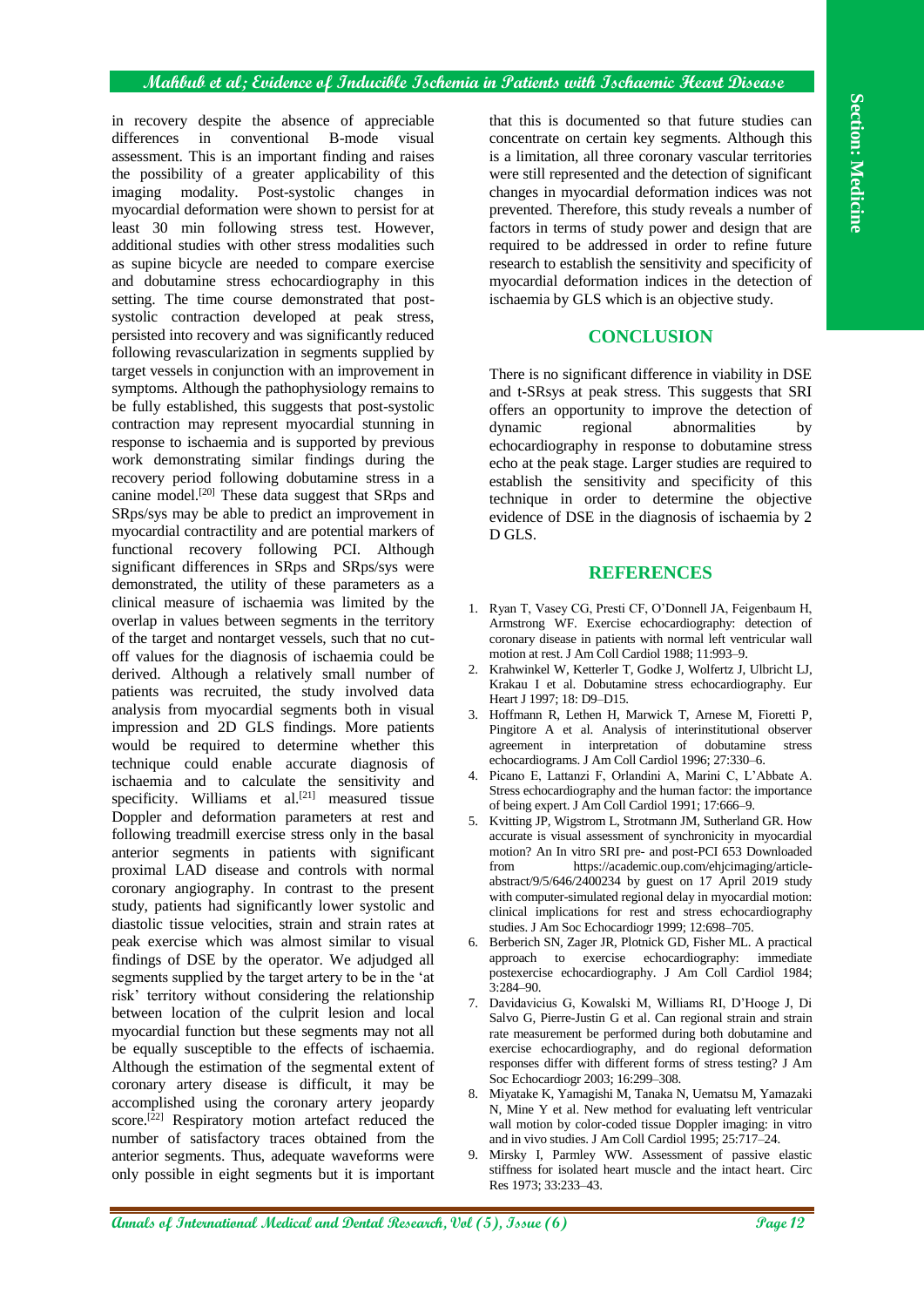#### **Mahbub et al; Evidence of Inducible Ischemia in Patients with Ischaemic Heart Disease**

in recovery despite the absence of appreciable differences in conventional B-mode visual assessment. This is an important finding and raises the possibility of a greater applicability of this imaging modality. Post-systolic changes in myocardial deformation were shown to persist for at least 30 min following stress test. However, additional studies with other stress modalities such as supine bicycle are needed to compare exercise and dobutamine stress echocardiography in this setting. The time course demonstrated that postsystolic contraction developed at peak stress, persisted into recovery and was significantly reduced following revascularization in segments supplied by target vessels in conjunction with an improvement in symptoms. Although the pathophysiology remains to be fully established, this suggests that post-systolic contraction may represent myocardial stunning in response to ischaemia and is supported by previous work demonstrating similar findings during the recovery period following dobutamine stress in a canine model.[20] These data suggest that SRps and SRps/sys may be able to predict an improvement in myocardial contractility and are potential markers of functional recovery following PCI. Although significant differences in SRps and SRps/sys were demonstrated, the utility of these parameters as a clinical measure of ischaemia was limited by the overlap in values between segments in the territory of the target and nontarget vessels, such that no cutoff values for the diagnosis of ischaemia could be derived. Although a relatively small number of patients was recruited, the study involved data analysis from myocardial segments both in visual impression and 2D GLS findings. More patients would be required to determine whether this technique could enable accurate diagnosis of ischaemia and to calculate the sensitivity and specificity. Williams et  $al.$ <sup>[21]</sup> measured tissue Doppler and deformation parameters at rest and following treadmill exercise stress only in the basal anterior segments in patients with significant proximal LAD disease and controls with normal coronary angiography. In contrast to the present study, patients had significantly lower systolic and diastolic tissue velocities, strain and strain rates at peak exercise which was almost similar to visual findings of DSE by the operator. We adjudged all segments supplied by the target artery to be in the 'at risk' territory without considering the relationship between location of the culprit lesion and local myocardial function but these segments may not all be equally susceptible to the effects of ischaemia. Although the estimation of the segmental extent of coronary artery disease is difficult, it may be accomplished using the coronary artery jeopardy score.<sup>[22]</sup> Respiratory motion artefact reduced the number of satisfactory traces obtained from the anterior segments. Thus, adequate waveforms were only possible in eight segments but it is important that this is documented so that future studies can concentrate on certain key segments. Although this is a limitation, all three coronary vascular territories were still represented and the detection of significant changes in myocardial deformation indices was not prevented. Therefore, this study reveals a number of factors in terms of study power and design that are required to be addressed in order to refine future research to establish the sensitivity and specificity of myocardial deformation indices in the detection of ischaemia by GLS which is an objective study.

## **CONCLUSION**

There is no significant difference in viability in DSE and t-SRsys at peak stress. This suggests that SRI offers an opportunity to improve the detection of dynamic regional abnormalities by echocardiography in response to dobutamine stress echo at the peak stage. Larger studies are required to establish the sensitivity and specificity of this technique in order to determine the objective evidence of DSE in the diagnosis of ischaemia by 2 D GLS.

## **REFERENCES**

- 1. Ryan T, Vasey CG, Presti CF, O'Donnell JA, Feigenbaum H, Armstrong WF. Exercise echocardiography: detection of coronary disease in patients with normal left ventricular wall motion at rest. J Am Coll Cardiol 1988; 11:993–9.
- 2. Krahwinkel W, Ketterler T, Godke J, Wolfertz J, Ulbricht LJ, Krakau I et al. Dobutamine stress echocardiography. Eur Heart J 1997; 18: D9–D15.
- 3. Hoffmann R, Lethen H, Marwick T, Arnese M, Fioretti P, Pingitore A et al. Analysis of interinstitutional observer agreement in interpretation of dobutamine stress echocardiograms. J Am Coll Cardiol 1996; 27:330–6.
- 4. Picano E, Lattanzi F, Orlandini A, Marini C, L'Abbate A. Stress echocardiography and the human factor: the importance of being expert. J Am Coll Cardiol 1991; 17:666–9.
- 5. Kvitting JP, Wigstrom L, Strotmann JM, Sutherland GR. How accurate is visual assessment of synchronicity in myocardial motion? An In vitro SRI pre- and post-PCI 653 Downloaded from https://academic.oup.com/ehjcimaging/articleabstract/9/5/646/2400234 by guest on 17 April 2019 study with computer-simulated regional delay in myocardial motion: clinical implications for rest and stress echocardiography studies. J Am Soc Echocardiogr 1999; 12:698–705.
- 6. Berberich SN, Zager JR, Plotnick GD, Fisher ML. A practical approach to exercise echocardiography: immediate postexercise echocardiography. J Am Coll Cardiol 1984; 3:284–90.
- 7. Davidavicius G, Kowalski M, Williams RI, D'Hooge J, Di Salvo G, Pierre-Justin G et al. Can regional strain and strain rate measurement be performed during both dobutamine and exercise echocardiography, and do regional deformation responses differ with different forms of stress testing? J Am Soc Echocardiogr 2003; 16:299–308.
- 8. Miyatake K, Yamagishi M, Tanaka N, Uematsu M, Yamazaki N, Mine Y et al. New method for evaluating left ventricular wall motion by color-coded tissue Doppler imaging: in vitro and in vivo studies. J Am Coll Cardiol 1995; 25:717–24.
- 9. Mirsky I, Parmley WW. Assessment of passive elastic stiffness for isolated heart muscle and the intact heart. Circ Res 1973; 33:233–43.